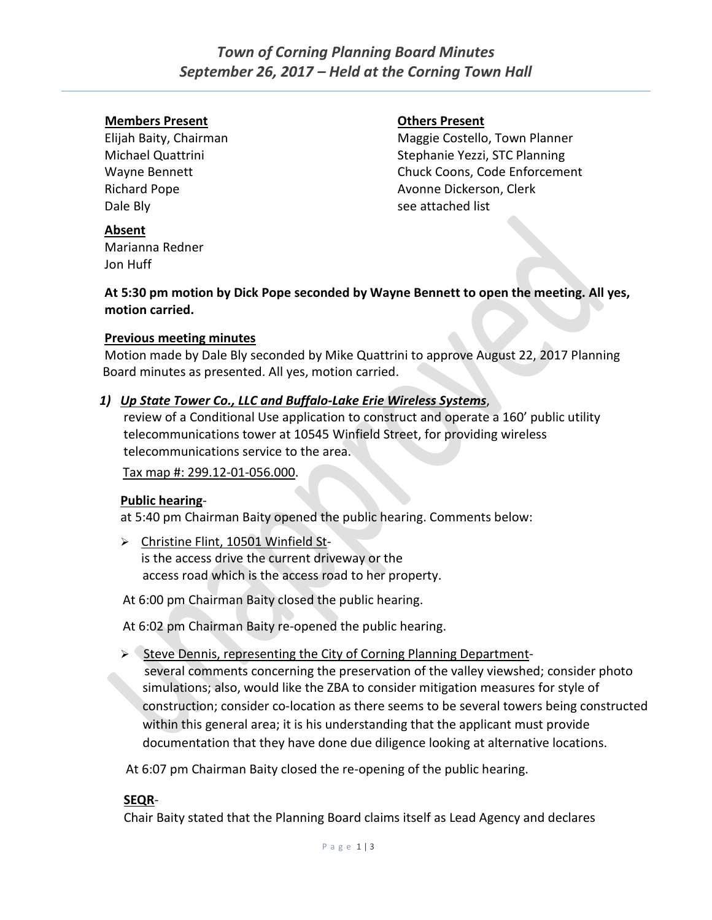#### **Members Present Others Present**

Dale Bly see attached list

Elijah Baity, Chairman Maggie Costello, Town Planner Michael Quattrini Stephanie Yezzi, STC Planning Wayne Bennett **Chuck Coons**, Code Enforcement Richard Pope **Avonne Dickerson**, Clerk

#### **Absent**

Marianna Redner Jon Huff

**At 5:30 pm motion by Dick Pope seconded by Wayne Bennett to open the meeting. All yes, motion carried.** 

#### **Previous meeting minutes**

Motion made by Dale Bly seconded by Mike Quattrini to approve August 22, 2017 Planning Board minutes as presented. All yes, motion carried.

#### *1) Up State Tower Co., LLC and Buffalo-Lake Erie Wireless Systems*,

review of a Conditional Use application to construct and operate a 160' public utility telecommunications tower at 10545 Winfield Street, for providing wireless telecommunications service to the area.

#### Tax map #: 299.12-01-056.000.

#### **Public hearing**-

at 5:40 pm Chairman Baity opened the public hearing. Comments below:

- Christine Flint, 10501 Winfield Stis the access drive the current driveway or the access road which is the access road to her property.
- At 6:00 pm Chairman Baity closed the public hearing.

At 6:02 pm Chairman Baity re-opened the public hearing.

 $\triangleright$  Steve Dennis, representing the City of Corning Planning Departmentseveral comments concerning the preservation of the valley viewshed; consider photo simulations; also, would like the ZBA to consider mitigation measures for style of construction; consider co-location as there seems to be several towers being constructed within this general area; it is his understanding that the applicant must provide documentation that they have done due diligence looking at alternative locations.

At 6:07 pm Chairman Baity closed the re-opening of the public hearing.

#### **SEQR**-

Chair Baity stated that the Planning Board claims itself as Lead Agency and declares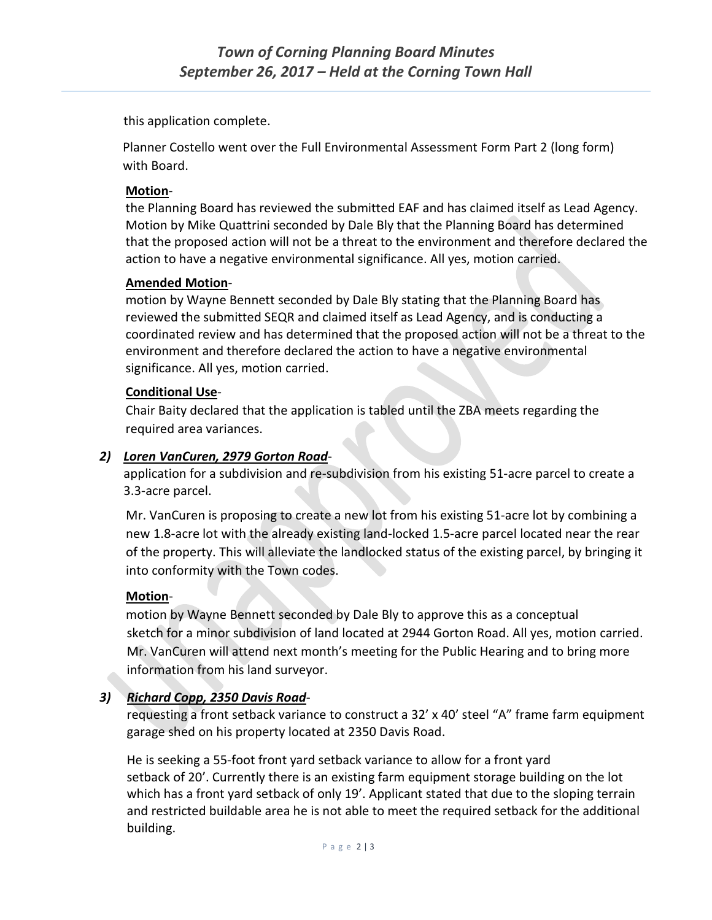this application complete.

 Planner Costello went over the Full Environmental Assessment Form Part 2 (long form) with Board.

## **Motion**-

the Planning Board has reviewed the submitted EAF and has claimed itself as Lead Agency. Motion by Mike Quattrini seconded by Dale Bly that the Planning Board has determined that the proposed action will not be a threat to the environment and therefore declared the action to have a negative environmental significance. All yes, motion carried.

# **Amended Motion**-

motion by Wayne Bennett seconded by Dale Bly stating that the Planning Board has reviewed the submitted SEQR and claimed itself as Lead Agency, and is conducting a coordinated review and has determined that the proposed action will not be a threat to the environment and therefore declared the action to have a negative environmental significance. All yes, motion carried.

# **Conditional Use**-

Chair Baity declared that the application is tabled until the ZBA meets regarding the required area variances.

# *2) Loren VanCuren, 2979 Gorton Road*-

application for a subdivision and re-subdivision from his existing 51-acre parcel to create a 3.3-acre parcel.

 Mr. VanCuren is proposing to create a new lot from his existing 51-acre lot by combining a new 1.8-acre lot with the already existing land-locked 1.5-acre parcel located near the rear of the property. This will alleviate the landlocked status of the existing parcel, by bringing it into conformity with the Town codes.

#### **Motion**-

 motion by Wayne Bennett seconded by Dale Bly to approve this as a conceptual sketch for a minor subdivision of land located at 2944 Gorton Road. All yes, motion carried. Mr. VanCuren will attend next month's meeting for the Public Hearing and to bring more information from his land surveyor.

# *3) Richard Copp, 2350 Davis Road*-

 requesting a front setback variance to construct a 32' x 40' steel "A" frame farm equipment garage shed on his property located at 2350 Davis Road.

He is seeking a 55-foot front yard setback variance to allow for a front yard setback of 20'. Currently there is an existing farm equipment storage building on the lot which has a front yard setback of only 19'. Applicant stated that due to the sloping terrain and restricted buildable area he is not able to meet the required setback for the additional building.